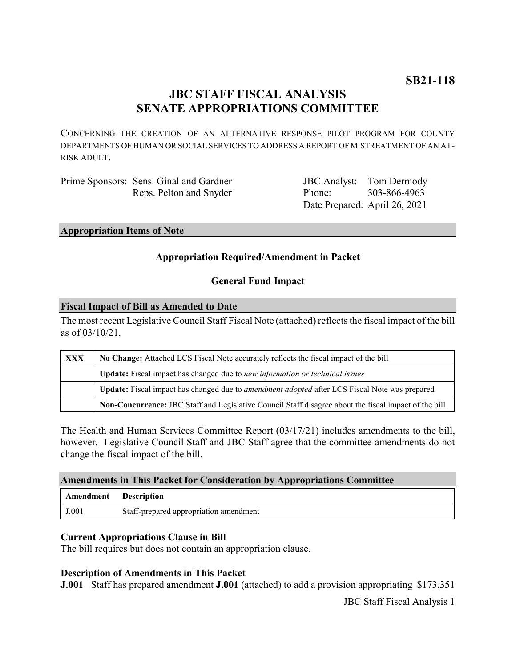# **JBC STAFF FISCAL ANALYSIS SENATE APPROPRIATIONS COMMITTEE**

CONCERNING THE CREATION OF AN ALTERNATIVE RESPONSE PILOT PROGRAM FOR COUNTY DEPARTMENTS OF HUMAN OR SOCIAL SERVICES TO ADDRESS A REPORT OF MISTREATMENT OF AN AT-RISK ADULT.

| Prime Sponsors: Sens. Ginal and Gardner |
|-----------------------------------------|
| Reps. Pelton and Snyder                 |

JBC Analyst: Tom Dermody Phone: Date Prepared: April 26, 2021 303-866-4963

#### **Appropriation Items of Note**

## **Appropriation Required/Amendment in Packet**

#### **General Fund Impact**

#### **Fiscal Impact of Bill as Amended to Date**

The most recent Legislative Council Staff Fiscal Note (attached) reflects the fiscal impact of the bill as of 03/10/21.

| XXX | No Change: Attached LCS Fiscal Note accurately reflects the fiscal impact of the bill                 |  |
|-----|-------------------------------------------------------------------------------------------------------|--|
|     | Update: Fiscal impact has changed due to new information or technical issues                          |  |
|     | Update: Fiscal impact has changed due to <i>amendment adopted</i> after LCS Fiscal Note was prepared  |  |
|     | Non-Concurrence: JBC Staff and Legislative Council Staff disagree about the fiscal impact of the bill |  |

The Health and Human Services Committee Report (03/17/21) includes amendments to the bill, however, Legislative Council Staff and JBC Staff agree that the committee amendments do not change the fiscal impact of the bill.

#### **Amendments in This Packet for Consideration by Appropriations Committee**

| Amendment Description |                                        |
|-----------------------|----------------------------------------|
| J.001                 | Staff-prepared appropriation amendment |

#### **Current Appropriations Clause in Bill**

The bill requires but does not contain an appropriation clause.

#### **Description of Amendments in This Packet**

**J.001** Staff has prepared amendment **J.001** (attached) to add a provision appropriating \$173,351

JBC Staff Fiscal Analysis 1